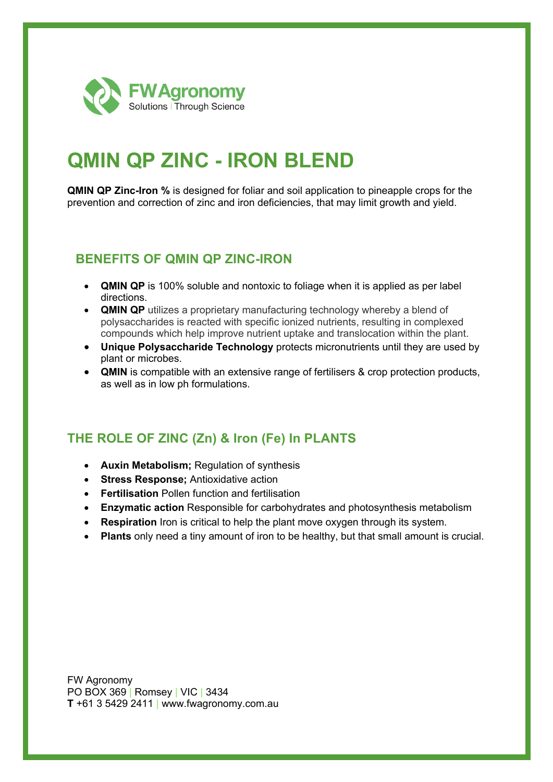

# **QMIN QP ZINC - IRON BLEND**

**QMIN QP Zinc-Iron %** is designed for foliar and soil application to pineapple crops for the prevention and correction of zinc and iron deficiencies, that may limit growth and yield.

### **BENEFITS OF QMIN QP ZINC-IRON**

- **QMIN QP** is 100% soluble and nontoxic to foliage when it is applied as per label directions.
- **QMIN QP** utilizes a proprietary manufacturing technology whereby a blend of polysaccharides is reacted with specific ionized nutrients, resulting in complexed compounds which help improve nutrient uptake and translocation within the plant.
- **Unique Polysaccharide Technology** protects micronutrients until they are used by plant or microbes.
- **QMIN** is compatible with an extensive range of fertilisers & crop protection products, as well as in low ph formulations.

## **THE ROLE OF ZINC (Zn) & Iron (Fe) In PLANTS**

- **Auxin Metabolism;** Regulation of synthesis
- **Stress Response;** Antioxidative action
- **Fertilisation** Pollen function and fertilisation
- **Enzymatic action** Responsible for carbohydrates and photosynthesis metabolism
- **Respiration** Iron is critical to help the plant move oxygen through its system.
- **Plants** only need a tiny amount of iron to be healthy, but that small amount is crucial.

FW Agronomy PO BOX 369 | Romsey | VIC | 3434 **T** +61 3 5429 2411 | www.fwagronomy.com.au